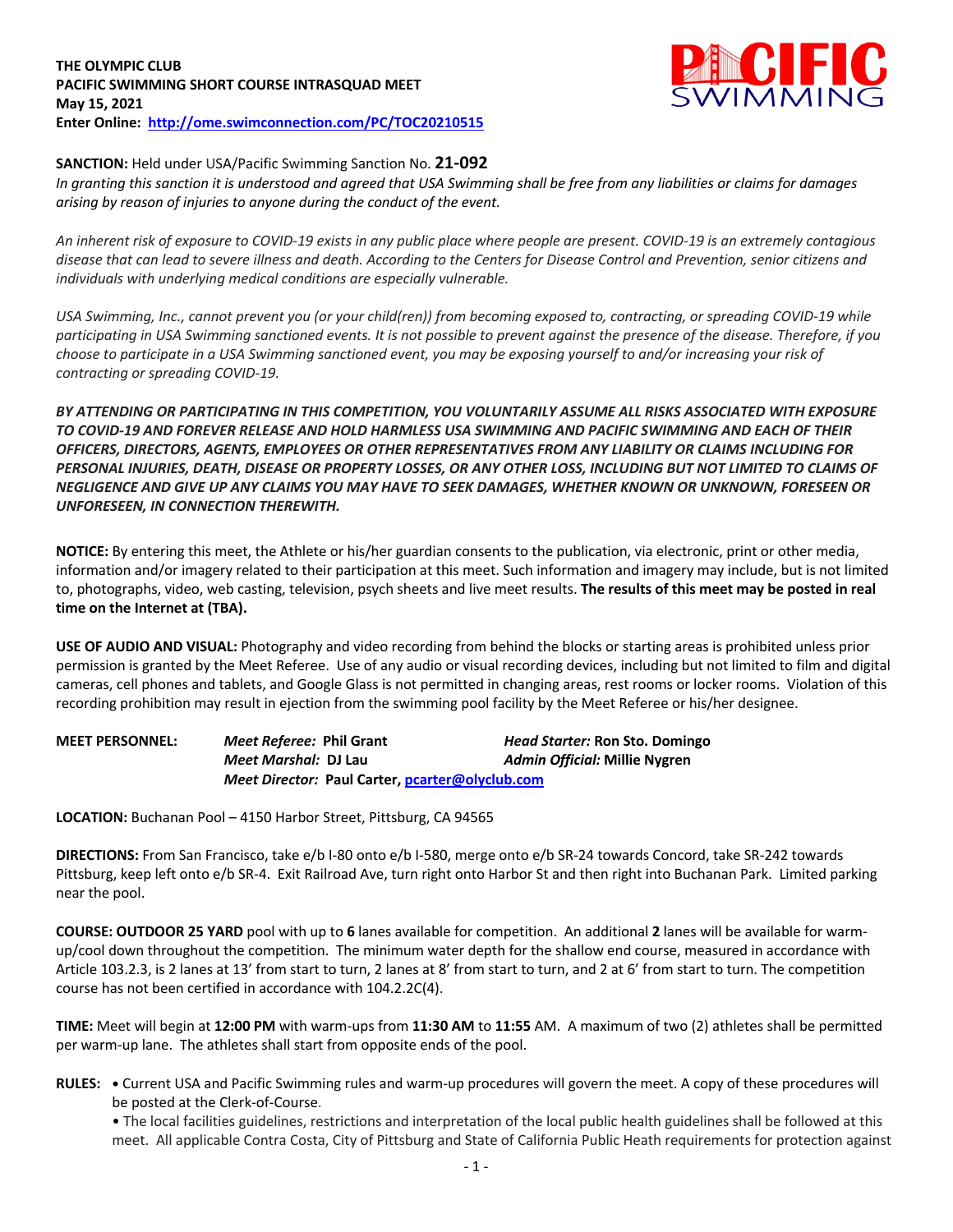## **THE OLYMPIC CLUB PACIFIC SWIMMING SHORT COURSE INTRASQUAD MEET May 15, 2021 Enter Online: http://ome.swimconnection.com/PC/TOC20210515**



## **SANCTION:** Held under USA/Pacific Swimming Sanction No. **21-092**

*In granting this sanction it is understood and agreed that USA Swimming shall be free from any liabilities or claims for damages arising by reason of injuries to anyone during the conduct of the event.* 

*An inherent risk of exposure to COVID-19 exists in any public place where people are present. COVID-19 is an extremely contagious disease that can lead to severe illness and death. According to the Centers for Disease Control and Prevention, senior citizens and individuals with underlying medical conditions are especially vulnerable.*

*USA Swimming, Inc., cannot prevent you (or your child(ren)) from becoming exposed to, contracting, or spreading COVID-19 while participating in USA Swimming sanctioned events. It is not possible to prevent against the presence of the disease. Therefore, if you choose to participate in a USA Swimming sanctioned event, you may be exposing yourself to and/or increasing your risk of contracting or spreading COVID-19.*

*BY ATTENDING OR PARTICIPATING IN THIS COMPETITION, YOU VOLUNTARILY ASSUME ALL RISKS ASSOCIATED WITH EXPOSURE TO COVID-19 AND FOREVER RELEASE AND HOLD HARMLESS USA SWIMMING AND PACIFIC SWIMMING AND EACH OF THEIR OFFICERS, DIRECTORS, AGENTS, EMPLOYEES OR OTHER REPRESENTATIVES FROM ANY LIABILITY OR CLAIMS INCLUDING FOR PERSONAL INJURIES, DEATH, DISEASE OR PROPERTY LOSSES, OR ANY OTHER LOSS, INCLUDING BUT NOT LIMITED TO CLAIMS OF NEGLIGENCE AND GIVE UP ANY CLAIMS YOU MAY HAVE TO SEEK DAMAGES, WHETHER KNOWN OR UNKNOWN, FORESEEN OR UNFORESEEN, IN CONNECTION THEREWITH.*

**NOTICE:** By entering this meet, the Athlete or his/her guardian consents to the publication, via electronic, print or other media, information and/or imagery related to their participation at this meet. Such information and imagery may include, but is not limited to, photographs, video, web casting, television, psych sheets and live meet results. **The results of this meet may be posted in real time on the Internet at (TBA).**

**USE OF AUDIO AND VISUAL:** Photography and video recording from behind the blocks or starting areas is prohibited unless prior permission is granted by the Meet Referee. Use of any audio or visual recording devices, including but not limited to film and digital cameras, cell phones and tablets, and Google Glass is not permitted in changing areas, rest rooms or locker rooms. Violation of this recording prohibition may result in ejection from the swimming pool facility by the Meet Referee or his/her designee.

| <b>MEET PERSONNEL:</b> | Meet Referee: Phil Grant    |                                                 | <b>Head Starter: Ron Sto. Domingo</b> |
|------------------------|-----------------------------|-------------------------------------------------|---------------------------------------|
|                        | <i>Meet Marshal: DJ Lau</i> |                                                 | Admin Official: Millie Nygren         |
|                        |                             | Meet Director: Paul Carter, pcarter@olyclub.com |                                       |

**LOCATION:** Buchanan Pool – 4150 Harbor Street, Pittsburg, CA 94565

**DIRECTIONS:** From San Francisco, take e/b I-80 onto e/b I-580, merge onto e/b SR-24 towards Concord, take SR-242 towards Pittsburg, keep left onto e/b SR-4. Exit Railroad Ave, turn right onto Harbor St and then right into Buchanan Park. Limited parking near the pool.

**COURSE: OUTDOOR 25 YARD** pool with up to **6** lanes available for competition.An additional **2** lanes will be available for warmup/cool down throughout the competition. The minimum water depth for the shallow end course, measured in accordance with Article 103.2.3, is 2 lanes at 13' from start to turn, 2 lanes at 8' from start to turn, and 2 at 6' from start to turn. The competition course has not been certified in accordance with 104.2.2C(4).

**TIME:** Meet will begin at **12:00 PM** with warm-ups from **11:30 AM** to **11:55** AM. A maximum of two (2) athletes shall be permitted per warm-up lane. The athletes shall start from opposite ends of the pool.

**RULES: •** Current USA and Pacific Swimming rules and warm-up procedures will govern the meet. A copy of these procedures will be posted at the Clerk-of-Course.

• The local facilities guidelines, restrictions and interpretation of the local public health guidelines shall be followed at this meet. All applicable Contra Costa, City of Pittsburg and State of California Public Heath requirements for protection against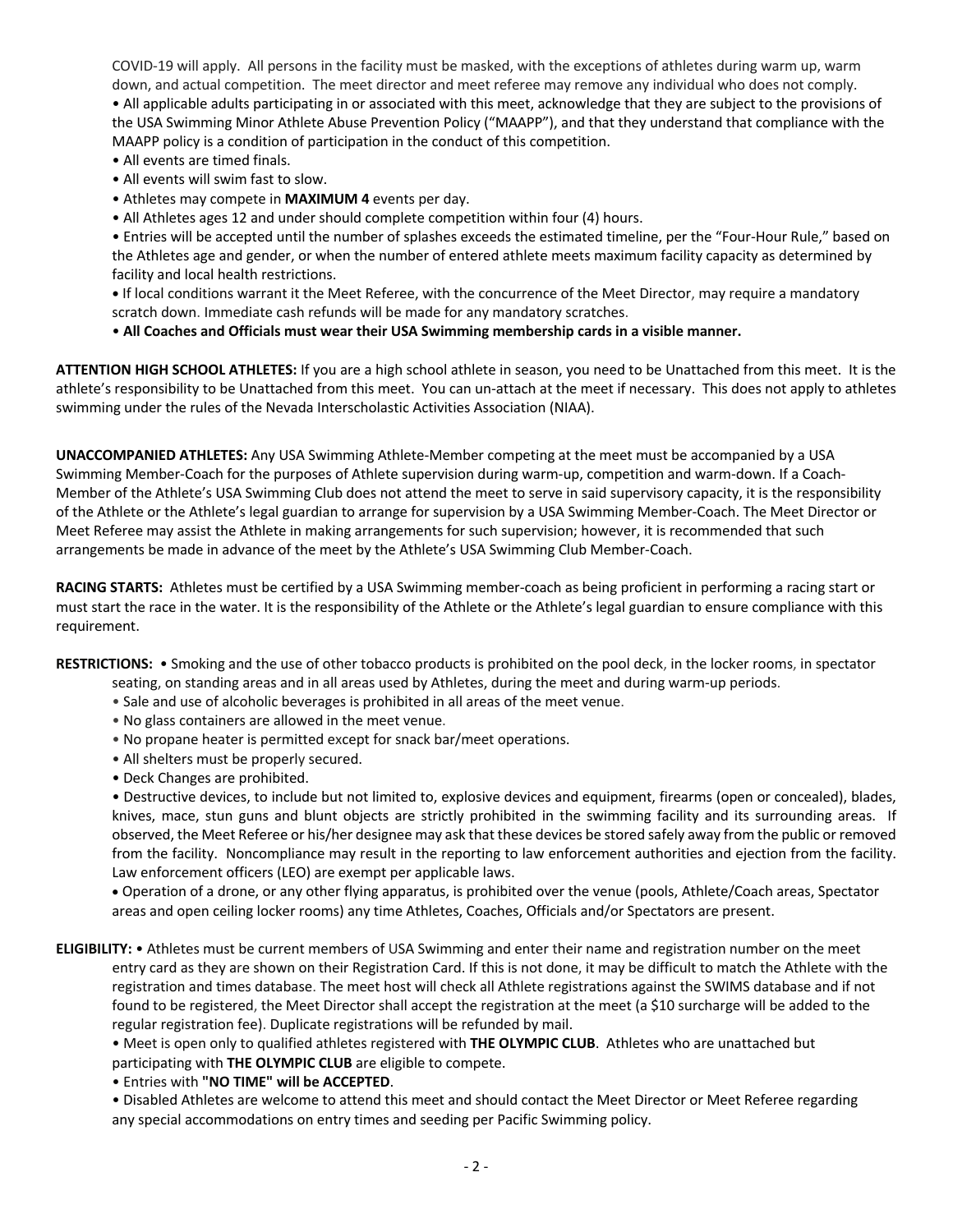COVID-19 will apply. All persons in the facility must be masked, with the exceptions of athletes during warm up, warm down, and actual competition. The meet director and meet referee may remove any individual who does not comply. • All applicable adults participating in or associated with this meet, acknowledge that they are subject to the provisions of the USA Swimming Minor Athlete Abuse Prevention Policy ("MAAPP"), and that they understand that compliance with the MAAPP policy is a condition of participation in the conduct of this competition.

- All events are timed finals.
- All events will swim fast to slow.
- Athletes may compete in **MAXIMUM 4** events per day.
- All Athletes ages 12 and under should complete competition within four (4) hours.

• Entries will be accepted until the number of splashes exceeds the estimated timeline, per the "Four-Hour Rule," based on the Athletes age and gender, or when the number of entered athlete meets maximum facility capacity as determined by facility and local health restrictions.

**•** If local conditions warrant it the Meet Referee, with the concurrence of the Meet Director, may require a mandatory scratch down. Immediate cash refunds will be made for any mandatory scratches.

• **All Coaches and Officials must wear their USA Swimming membership cards in a visible manner.** 

**ATTENTION HIGH SCHOOL ATHLETES:** If you are a high school athlete in season, you need to be Unattached from this meet. It is the athlete's responsibility to be Unattached from this meet. You can un-attach at the meet if necessary. This does not apply to athletes swimming under the rules of the Nevada Interscholastic Activities Association (NIAA).

**UNACCOMPANIED ATHLETES:** Any USA Swimming Athlete-Member competing at the meet must be accompanied by a USA Swimming Member-Coach for the purposes of Athlete supervision during warm-up, competition and warm-down. If a Coach-Member of the Athlete's USA Swimming Club does not attend the meet to serve in said supervisory capacity, it is the responsibility of the Athlete or the Athlete's legal guardian to arrange for supervision by a USA Swimming Member-Coach. The Meet Director or Meet Referee may assist the Athlete in making arrangements for such supervision; however, it is recommended that such arrangements be made in advance of the meet by the Athlete's USA Swimming Club Member-Coach.

**RACING STARTS:** Athletes must be certified by a USA Swimming member-coach as being proficient in performing a racing start or must start the race in the water. It is the responsibility of the Athlete or the Athlete's legal guardian to ensure compliance with this requirement.

**RESTRICTIONS:** • Smoking and the use of other tobacco products is prohibited on the pool deck, in the locker rooms, in spectator

- seating, on standing areas and in all areas used by Athletes, during the meet and during warm-up periods.
- Sale and use of alcoholic beverages is prohibited in all areas of the meet venue.
- No glass containers are allowed in the meet venue.
- No propane heater is permitted except for snack bar/meet operations.
- All shelters must be properly secured.
- Deck Changes are prohibited.

• Destructive devices, to include but not limited to, explosive devices and equipment, firearms (open or concealed), blades, knives, mace, stun guns and blunt objects are strictly prohibited in the swimming facility and its surrounding areas. If observed, the Meet Referee or his/her designee may ask that these devices be stored safely away from the public or removed from the facility. Noncompliance may result in the reporting to law enforcement authorities and ejection from the facility. Law enforcement officers (LEO) are exempt per applicable laws.

• Operation of a drone, or any other flying apparatus, is prohibited over the venue (pools, Athlete/Coach areas, Spectator areas and open ceiling locker rooms) any time Athletes, Coaches, Officials and/or Spectators are present.

**ELIGIBILITY:** • Athletes must be current members of USA Swimming and enter their name and registration number on the meet entry card as they are shown on their Registration Card. If this is not done, it may be difficult to match the Athlete with the registration and times database. The meet host will check all Athlete registrations against the SWIMS database and if not found to be registered, the Meet Director shall accept the registration at the meet (a \$10 surcharge will be added to the regular registration fee). Duplicate registrations will be refunded by mail.

• Meet is open only to qualified athletes registered with **THE OLYMPIC CLUB**. Athletes who are unattached but participating with **THE OLYMPIC CLUB** are eligible to compete.

• Entries with **"NO TIME" will be ACCEPTED**.

• Disabled Athletes are welcome to attend this meet and should contact the Meet Director or Meet Referee regarding any special accommodations on entry times and seeding per Pacific Swimming policy.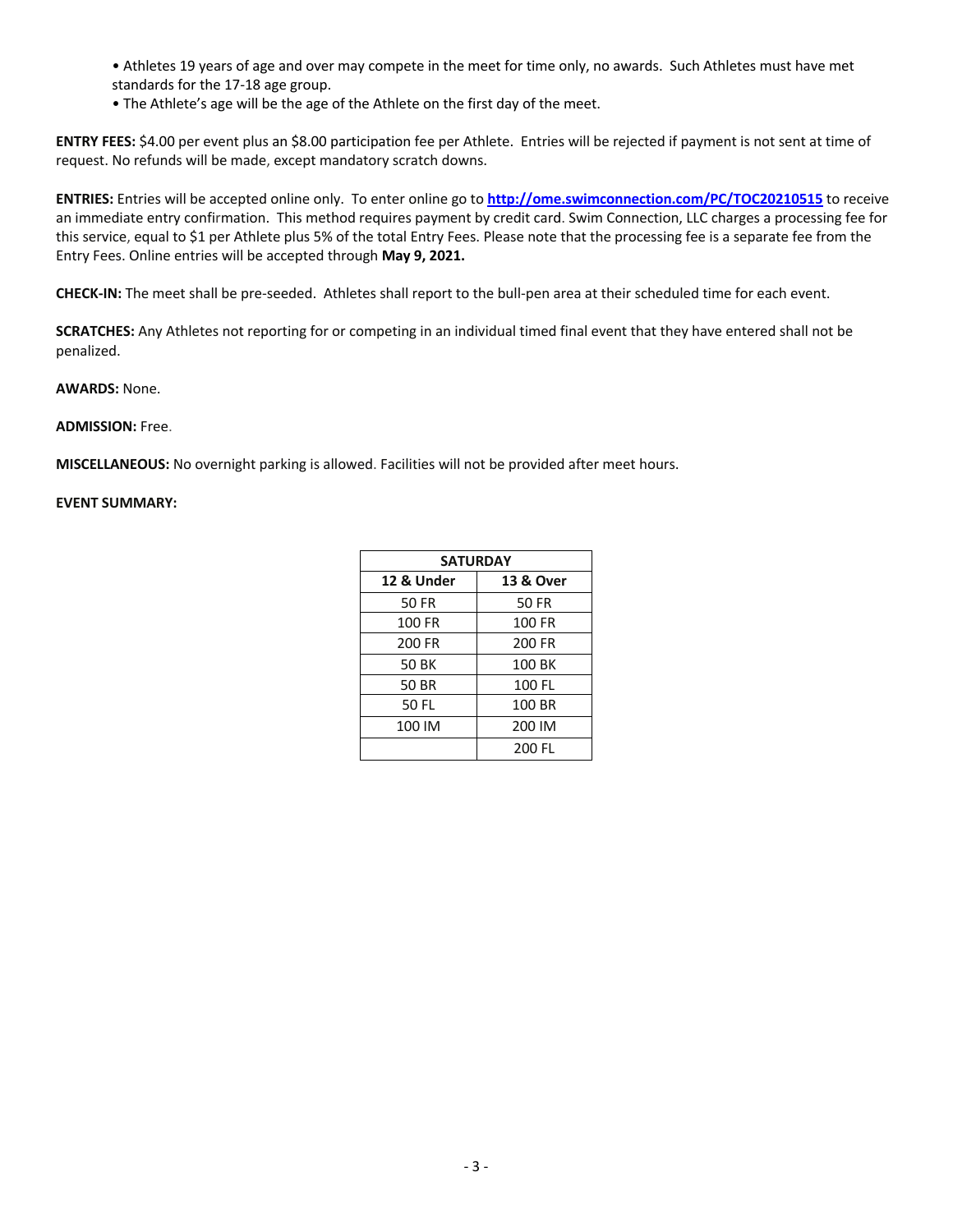• Athletes 19 years of age and over may compete in the meet for time only, no awards. Such Athletes must have met standards for the 17-18 age group.

• The Athlete's age will be the age of the Athlete on the first day of the meet.

**ENTRY FEES:** \$4.00 per event plus an \$8.00 participation fee per Athlete. Entries will be rejected if payment is not sent at time of request. No refunds will be made, except mandatory scratch downs.

**ENTRIES:** Entries will be accepted online only.To enter online go to **http://ome.swimconnection.com/PC/TOC20210515** to receive an immediate entry confirmation. This method requires payment by credit card. Swim Connection, LLC charges a processing fee for this service, equal to \$1 per Athlete plus 5% of the total Entry Fees. Please note that the processing fee is a separate fee from the Entry Fees. Online entries will be accepted through **May 9, 2021.**

**CHECK-IN:** The meet shall be pre-seeded. Athletes shall report to the bull-pen area at their scheduled time for each event.

**SCRATCHES:** Any Athletes not reporting for or competing in an individual timed final event that they have entered shall not be penalized.

**AWARDS:** None.

## **ADMISSION:** Free.

**MISCELLANEOUS:** No overnight parking is allowed. Facilities will not be provided after meet hours.

## **EVENT SUMMARY:**

| <b>SATURDAY</b> |                      |  |
|-----------------|----------------------|--|
| 12 & Under      | <b>13 &amp; Over</b> |  |
| 50 FR           | <b>50 FR</b>         |  |
| 100 FR          | <b>100 FR</b>        |  |
| 200 FR          | 200 FR               |  |
| <b>50 BK</b>    | 100 BK               |  |
| 50 BR           | 100 FL               |  |
| 50 FL           | 100 BR               |  |
| 100 IM          | 200 IM               |  |
|                 | 200 FI               |  |